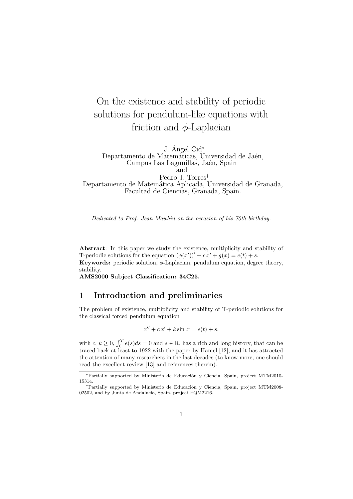# On the existence and stability of periodic solutions for pendulum-like equations with friction and  $\phi$ -Laplacian

J. Ángel Cid<sup>\*</sup>

Departamento de Matemáticas, Universidad de Jaén, Campus Las Lagunillas, Jaén, Spain and

Pedro J. Torres† Departamento de Matemática Aplicada, Universidad de Granada, Facultad de Ciencias, Granada, Spain.

Dedicated to Prof. Jean Mawhin on the occasion of his 70th birthday.

Abstract: In this paper we study the existence, multiplicity and stability of T-periodic solutions for the equation  $(\phi(x'))' + cx' + g(x) = e(t) + s$ . Keywords: periodic solution,  $\phi$ -Laplacian, pendulum equation, degree theory, stability.

AMS2000 Subject Classification: 34C25.

## 1 Introduction and preliminaries

The problem of existence, multiplicity and stability of T-periodic solutions for the classical forced pendulum equation

$$
x'' + cx' + k \sin x = e(t) + s,
$$

with  $c, k \geq 0$ ,  $\int_0^T e(s)ds = 0$  and  $s \in \mathbb{R}$ , has a rich and long history, that can be traced back at least to 1922 with the paper by Hamel [12], and it has attracted the attention of many researchers in the last decades (to know more, one should read the excellent review [13] and references therein).

<sup>∗</sup>Partially supported by Ministerio de Educaci´on y Ciencia, Spain, project MTM2010- 15314.

<sup>&</sup>lt;sup>†</sup>Partially supported by Ministerio de Educación y Ciencia, Spain, project MTM2008-02502, and by Junta de Andalucía, Spain, project FQM2216.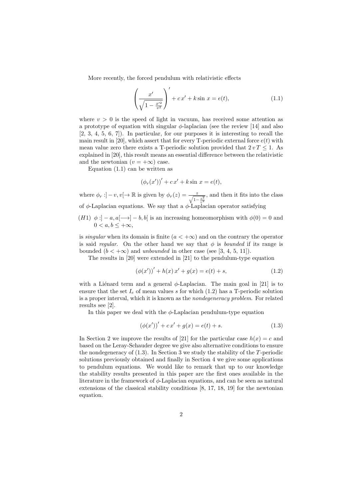More recently, the forced pendulum with relativistic effects

$$
\left(\frac{x'}{\sqrt{1 - \frac{x'^2}{v^2}}}\right)' + cx' + k\sin x = e(t),\tag{1.1}
$$

where  $v > 0$  is the speed of light in vacuum, has received some attention as a prototype of equation with singular  $\phi$ -laplacian (see the review [14] and also [2, 3, 4, 5, 6, 7]). In particular, for our purposes it is interesting to recall the main result in [20], which assert that for every T-periodic external force  $e(t)$  with mean value zero there exists a T-periodic solution provided that  $2 v T \leq 1$ . As explained in [20], this result means an essential difference between the relativistic and the newtonian  $(v = +\infty)$  case.

Equation (1.1) can be written as

$$
(\phi_r(x'))' + cx' + k \sin x = e(t),
$$

where  $\phi_r : ]-v, v[ \to \mathbb{R}$  is given by  $\phi_r(z) = \frac{z}{\sqrt{1-\frac{z^2}{v^2}}}$ , and then it fits into the class of  $\phi$ -Laplacian equations. We say that a  $\phi$ -Laplacian operator satisfying

 $(H1) \phi : ]-a, a[ \longrightarrow ]-b, b[$  is an increasing homeomorphism with  $\phi(0) = 0$  and  $0 < a, b < +\infty$ 

is *singular* when its domain is finite  $(a < +\infty)$  and on the contrary the operator is said regular. On the other hand we say that  $\phi$  is bounded if its range is bounded  $(b < +\infty)$  and unbounded in other case (see [3, 4, 5, 11]).

The results in [20] were extended in [21] to the pendulum-type equation

$$
(\phi(x'))' + h(x)x' + g(x) = e(t) + s,
$$
\n(1.2)

with a Liénard term and a general  $\phi$ -Laplacian. The main goal in [21] is to ensure that the set  $I_e$  of mean values s for which  $(1.2)$  has a T-periodic solution is a proper interval, which it is known as the nondegeneracy problem. For related results see [2].

In this paper we deal with the  $\phi$ -Laplacian pendulum-type equation

$$
(\phi(x'))' + cx' + g(x) = e(t) + s.
$$
\n(1.3)

In Section 2 we improve the results of [21] for the particular case  $h(x) = c$  and based on the Leray-Schauder degree we give also alternative conditions to ensure the nondegeneracy of  $(1.3)$ . In Section 3 we study the stability of the T-periodic solutions previously obtained and finally in Section 4 we give some applications to pendulum equations. We would like to remark that up to our knowledge the stability results presented in this paper are the first ones available in the literature in the framework of  $\phi$ -Laplacian equations, and can be seen as natural extensions of the classical stability conditions [8, 17, 18, 19] for the newtonian equation.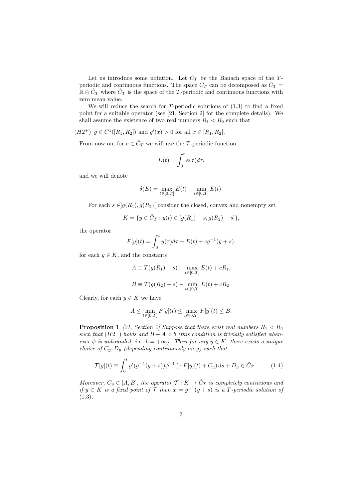Let us introduce some notation. Let  $C_T$  be the Banach space of the  $T$ periodic and continuous functions. The space  $C_T$  can be decomposed as  $C_T$  =  $\mathbb{R} \oplus \tilde{C}_T$  where  $\tilde{C}_T$  is the space of the T-periodic and continuous functions with zero mean value.

We will reduce the search for  $T$ -periodic solutions of  $(1.3)$  to find a fixed point for a suitable operator (see [21, Section 2] for the complete details). We shall assume the existence of two real numbers  $R_1 < R_2$  such that

 $(H2^+)$   $g \in C^1([R_1, R_2])$  and  $g'(x) > 0$  for all  $x \in [R_1, R_2]$ ,

From now on, for  $e \in \tilde{C}_T$  we will use the T-periodic function

$$
E(t) = \int_0^t e(\tau) d\tau,
$$

and we will denote

$$
\delta(E) = \max_{t \in [0,T]} E(t) - \min_{t \in [0,T]} E(t).
$$

For each  $s \in ]g(R_1), g(R_2)]$  consider the closed, convex and nonempty set

$$
K = \{ y \in \tilde{C}_T : y(t) \in [g(R_1) - s, g(R_2) - s] \},\
$$

the operator

$$
F[y](t) = \int_0^t y(\tau)d\tau - E(t) + cg^{-1}(y+s),
$$

for each  $y \in K$ , and the constants

$$
A \equiv T(g(R_1) - s) - \max_{t \in [0,T]} E(t) + cR_1,
$$
  

$$
B \equiv T(g(R_2) - s) - \min_{t \in [0,T]} E(t) + cR_2.
$$

Clearly, for each  $y \in K$  we have

$$
A\leq \min_{t\in[0,T]}F[y](t)\leq \max_{t\in[0,T]}F[y](t)\leq B.
$$

**Proposition 1** [21, Section 2] Suppose that there exist real numbers  $R_1 < R_2$ such that  $(H2^+)$  holds and  $B - A < b$  (this condition is trivially satisfied whenever  $\phi$  is unbounded, i.e.  $b = +\infty$ ). Then for any  $y \in K$ , there exists a unique choice of  $C_y, D_y$  (depending continuously on y) such that

$$
\mathcal{T}[y](t) \equiv \int_0^t g'(g^{-1}(y+s))\phi^{-1}(-F[y](t) + C_y) ds + D_y \in \tilde{C}_T.
$$
 (1.4)

Moreover,  $C_y \in [A, B]$ , the operator  $\mathcal{T}: K \to \tilde{C}_T$  is completely continuous and if  $y \in K$  is a fixed point of  $\mathcal T$  then  $x = g^{-1}(y + s)$  is a T-periodic solution of  $(1.3).$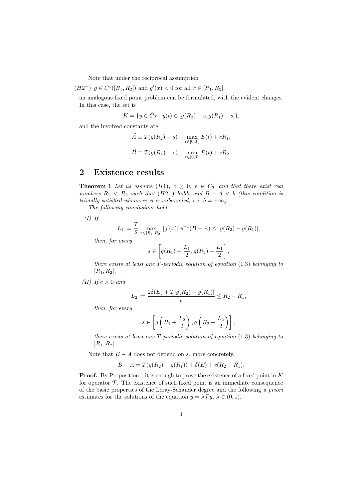Note that under the reciprocal assumption

$$
(H2^{-})
$$
  $g \in C^{1}([R_1, R_2])$  and  $g'(x) < 0$  for all  $x \in [R_1, R_2]$ .

an analogous fixed point problem can be formulated, with the evident changes. In this case, the set is

$$
K = \{ y \in \tilde{C}_T : y(t) \in [g(R_2) - s, g(R_1) - s] \},\
$$

and the involved constants are

$$
\widehat{A} \equiv T(g(R_2) - s) - \max_{t \in [0, T]} E(t) + cR_1,
$$
  

$$
\widehat{B} \equiv T(g(R_1) - s) - \min_{t \in [0, T]} E(t) + cR_2.
$$

## 2 Existence results

**Theorem 1** Let us assume (H1),  $c \geq 0$ ,  $e \in \tilde{C}_T$  and that there exist real numbers  $R_1 \, < R_2$  such that  $(H2^+)$  holds and  $B-A \, < b$  (this condition is trivially satisfied whenever  $\phi$  is unbounded, i.e.  $b = +\infty$ ).

The following conclusions hold:

 $(I)$  If

$$
L_1 := \frac{T}{2} \max_{x \in [R_1, R_2]} |g'(x)| \phi^{-1}(B - A) \le |g(R_2) - g(R_1)|,
$$

then, for every

$$
s \in \left[ g(R_1) + \frac{L_1}{2}, g(R_2) - \frac{L_1}{2} \right],
$$

there exists at least one  $T$ -periodic solution of equation  $(1.3)$  belonging to  $[R_1, R_2]$ .

(II) If  $c > 0$  and

$$
L_2 := \frac{2\delta(E) + T|g(R_2) - g(R_1)|}{c} \le R_2 - R_1,
$$

then, for every

$$
s \in \left[ g\left(R_1 + \frac{L_2}{2}\right), g\left(R_2 - \frac{L_2}{2}\right) \right],
$$

there exists at least one  $T$ -periodic solution of equation  $(1.3)$  belonging to  $[R_1, R_2].$ 

Note that  $B - A$  does not depend on s, more concretely,

$$
B - A = T(g(R_2) - g(R_1)) + \delta(E) + c(R_2 - R_1).
$$

**Proof.** By Proposition 1 it is enough to prove the existence of a fixed point in  $K$ for operator  $\mathcal T$ . The existence of such fixed point is an immediate consequence of the basic properties of the Leray-Schauder degree and the following a priori estimates for the solutions of the equation  $y = \lambda \mathcal{T} y$ ,  $\lambda \in (0, 1)$ .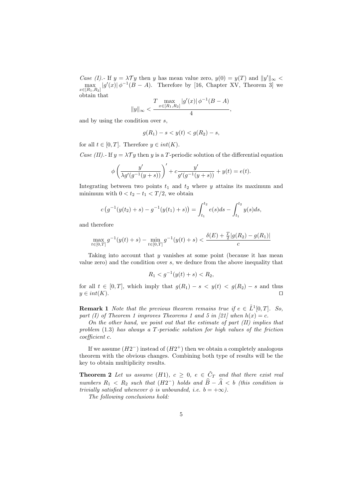Case (I).- If  $y = \lambda \mathcal{T}y$  then y has mean value zero,  $y(0) = y(T)$  and  $||y'||_{\infty}$  $\max_{x \in [R_1, R_2]} |g'(x)| \phi^{-1}(B-A)$ . Therefore by [16, Chapter XV, Theorem 3] we obtain that

$$
||y||_{\infty}<\frac{T\max\limits_{x\in[R_{1},R_{2}]}|g'(x)|\,\phi^{-1}(B-A)}{4},
$$

and by using the condition over s,

$$
g(R_1) - s < y(t) < g(R_2) - s
$$

for all  $t \in [0, T]$ . Therefore  $y \in int(K)$ .

Case (II).- If  $y = \lambda \mathcal{T}y$  then y is a T-periodic solution of the differential equation

$$
\phi\left(\frac{y'}{\lambda g'(g^{-1}(y+s))}\right)' + c\frac{y'}{g'(g^{-1}(y+s))} + y(t) = e(t).
$$

Integrating between two points  $t_1$  and  $t_2$  where y attains its maximum and minimum with  $0 < t_2 - t_1 < T/2$ , we obtain

$$
c(g^{-1}(y(t_2) + s) - g^{-1}(y(t_1) + s)) = \int_{t_1}^{t_2} e(s)ds - \int_{t_1}^{t_2} y(s)ds,
$$

and therefore

$$
\max_{t \in [0,T]} g^{-1}(y(t) + s) - \min_{t \in [0,T]} g^{-1}(y(t) + s) < \frac{\delta(E) + \frac{T}{2}|g(R_2) - g(R_1)|}{c}
$$

Taking into account that  $y$  vanishes at some point (because it has mean value zero) and the condition over s, we deduce from the above inequality that

$$
R_1 < g^{-1}(y(t) + s) < R_2
$$

for all  $t \in [0, T]$ , which imply that  $g(R_1) - s < y(t) < g(R_2) - s$  and thus  $y \in int(K)$ .

**Remark 1** Note that the previous theorem remains true if  $e \in \tilde{L}^1[0,T]$ . So, part (I) of Theorem 1 improves Theorems 1 and 5 in [21] when  $h(x) = c$ .

On the other hand, we point out that the estimate of part  $(II)$  implies that problem  $(1.3)$  has always a T-periodic solution for high values of the friction coefficient c.

If we assume  $(H2^{-})$  instead of  $(H2^{+})$  then we obtain a completely analogous theorem with the obvious changes. Combining both type of results will be the key to obtain multiplicity results.

**Theorem 2** Let us assume (H1),  $c \geq 0$ ,  $e \in \tilde{C}_T$  and that there exist real numbers  $R_1 < R_2$  such that  $(H2^-)$  holds and  $\widehat{B} - \widehat{A} < b$  (this condition is trivially satisfied whenever  $\phi$  is unbounded, i.e.  $b = +\infty$ ).

The following conclusions hold: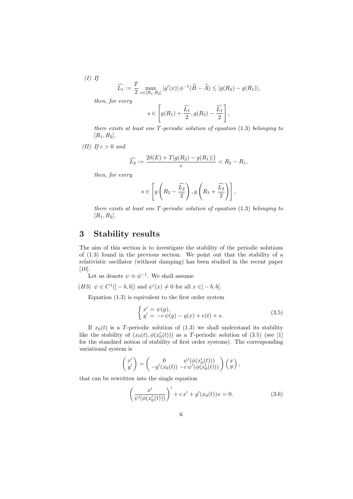$(I)$  If

$$
\widehat{L_1} := \frac{T}{2} \max_{x \in [R_1, R_2]} |g'(x)| \phi^{-1}(\widehat{B} - \widehat{A}) \le |g(R_2) - g(R_1)|,
$$

then, for every

$$
s \in \left[g(R_1) + \frac{\widehat{L_1}}{2}, g(R_2) - \frac{\widehat{L_1}}{2}\right],
$$

there exists at least one  $T$ -periodic solution of equation  $(1.3)$  belonging to  $[R_1, R_2].$ 

(II) If  $c > 0$  and

$$
\widehat{L_2} := \frac{2\delta(E) + T|g(R_2) - g(R_1)|}{c} < R_2 - R_1,
$$

then, for every

$$
s \in \left[ g\left(R_2 - \frac{\widehat{L_2}}{2}\right), g\left(R_1 + \frac{\widehat{L_2}}{2}\right) \right],
$$

there exists at least one T-periodic solution of equation (1.3) belonging to  $[R_1, R_2].$ 

## 3 Stability results

The aim of this section is to investigate the stability of the periodic solutions of (1.3) found in the previous section. We point out that the stability of a relativistic oscillator (without damping) has been studied in the recent paper [10].

Let us denote  $\psi \equiv \phi^{-1}$ . We shall assume

(H3)  $\psi \in C^1([-b,b[) \text{ and } \psi'(x) \neq 0 \text{ for all } x \in ]-b,b[$ .

Equation (1.3) is equivalent to the first order system

$$
\begin{cases}\nx' = \psi(y), \\
y' = -c\psi(y) - g(x) + e(t) + s.\n\end{cases}
$$
\n(3.5)

If  $x_0(t)$  is a T-periodic solution of (1.3) we shall understand its stability like the stability of  $(x_0(t), \phi(x'_0(t)))$  as a T-periodic solution of  $(3.5)$  (see [1] for the standard notion of stability of first order systems). The corresponding variational system is

$$
\begin{pmatrix} x' \\ y' \end{pmatrix} = \begin{pmatrix} 0 & \psi'(\phi(x'_0(t))) \\ -g'(x_0(t)) & -c \psi'(\phi(x'_0(t))) \end{pmatrix} \begin{pmatrix} x \\ y \end{pmatrix},
$$

that can be rewritten into the single equation

$$
\left(\frac{x'}{\psi'(\phi(x'_0(t)))}\right)' + cx' + g'(x_0(t))x = 0.
$$
\n(3.6)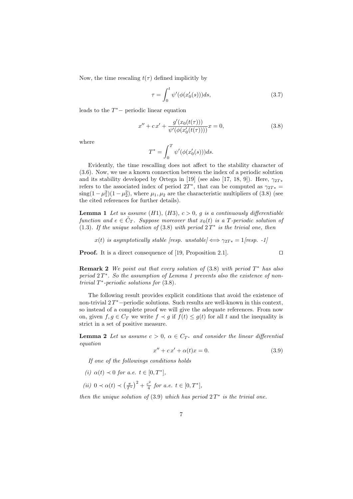Now, the time rescaling  $t(\tau)$  defined implicitly by

$$
\tau = \int_0^t \psi'(\phi(x'_0(s)))ds,\tag{3.7}
$$

leads to the  $T^*$  – periodic linear equation

$$
x'' + cx' + \frac{g'(x_0(t(\tau)))}{\psi'(\phi(x'_0(t(\tau))))}x = 0,
$$
\n(3.8)

where

$$
T^* = \int_0^T \psi'(\phi(x'_0(s)))ds.
$$

Evidently, the time rescalling does not affect to the stability character of (3.6). Now, we use a known connection between the index of a periodic solution and its stability developed by Ortega in [19] (see also [17, 18, 9]). Here,  $\gamma_{2T*}$ refers to the associated index of period  $2T^*$ , that can be computed as  $\gamma_{2T*} =$  $\text{sing}(1-\mu_1^2)(1-\mu_2^2)$ , where  $\mu_1, \mu_2$  are the characteristic multipliers of (3.8) (see the cited references for further details).

**Lemma 1** Let us assume (H1), (H3),  $c > 0$ , g is a continuously differentiable function and  $e \in \tilde{C}_T$ . Suppose moreover that  $x_0(t)$  is a T-periodic solution of (1.3). If the unique solution of (3.8) with period  $2T^*$  is the trivial one, then

 $x(t)$  is asymptotically stable [resp. unstable]  $\iff \gamma_{2T*} = 1$ [resp. -1]

**Proof.** It is a direct consequence of [19, Proposition 2.1].  $\Box$ 

**Remark 2** We point out that every solution of (3.8) with period 
$$
T^*
$$
 has also period  $2T^*$ . So the assumption of Lemma 1 prevents also the existence of non-trivial  $T^*$ -periodic solutions for (3.8).

The following result provides explicit conditions that avoid the existence of non-trivial  $2T^*$ -periodic solutions. Such results are well-known in this context, so instead of a complete proof we will give the adequate references. From now on, given  $f, g \in C_T$  we write  $f \prec g$  if  $f(t) \leq g(t)$  for all t and the inequality is strict in a set of positive measure.

**Lemma 2** Let us assume  $c > 0$ ,  $\alpha \in C_{T^*}$  and consider the linear differential equation

$$
x'' + cx' + \alpha(t)x = 0.
$$
\n
$$
(3.9)
$$

If one of the followings conditions holds

- (i)  $\alpha(t) \prec 0$  for a.e.  $t \in [0, T^*],$
- (*ii*)  $0 \prec \alpha(t) \prec (\frac{\pi}{T^*})^2 + \frac{c^2}{4}$  $\frac{c^2}{4}$  for a.e.  $t \in [0, T^*],$

then the unique solution of (3.9) which has period  $2T^*$  is the trivial one.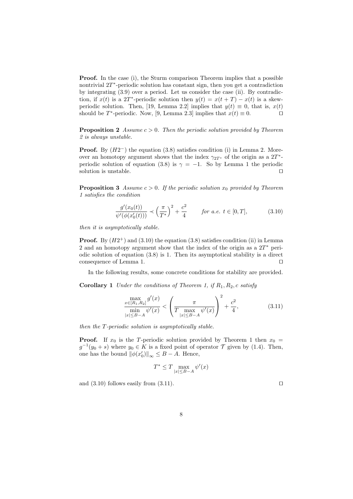**Proof.** In the case (i), the Sturm comparison Theorem implies that a possible nontrivial 2T ∗ -periodic solution has constant sign, then you get a contradiction by integrating (3.9) over a period. Let us consider the case (ii). By contradiction, if  $x(t)$  is a 2T<sup>\*</sup>-periodic solution then  $y(t) = x(t + T) - x(t)$  is a skewperiodic solution. Then, [19, Lemma 2.2] implies that  $y(t) \equiv 0$ , that is,  $x(t)$ should be  $T^*$ -periodic. Now, [9, Lemma 2.3] implies that  $x(t) \equiv 0$ .

**Proposition 2** Assume  $c > 0$ . Then the periodic solution provided by Theorem 2 is always unstable.

**Proof.** By  $(H2^-)$  the equation  $(3.8)$  satisfies condition  $(i)$  in Lemma 2. Moreover an homotopy argument shows that the index  $\gamma_{2T^*}$  of the origin as a  $2T^*$ periodic solution of equation (3.8) is  $\gamma = -1$ . So by Lemma 1 the periodic solution is unstable.  $\Box$ 

**Proposition 3** Assume  $c > 0$ . If the periodic solution  $x_0$  provided by Theorem 1 satisfies the condition

$$
\frac{g'(x_0(t))}{\psi'(\phi(x'_0(t)))} \prec \left(\frac{\pi}{T^*}\right)^2 + \frac{c^2}{4} \qquad \text{for a.e. } t \in [0, T],
$$
 (3.10)

then it is asymptotically stable.

**Proof.** By  $(H2^+)$  and  $(3.10)$  the equation  $(3.8)$  satisfies condition  $(ii)$  in Lemma 2 and an homotopy argument show that the index of the origin as a  $2T^*$  periodic solution of equation (3.8) is 1. Then its asymptotical stability is a direct consequence of Lemma 1.  $\hfill \Box$ 

In the following results, some concrete conditions for stability are provided.

**Corollary 1** Under the conditions of Theorem 1, if  $R_1, R_2, c$  satisfy

$$
\frac{\max\limits_{x \in [R_1, R_2]} g'(x)}{\min\limits_{|x| \leq B-A} \psi'(x)} < \left(\frac{\pi}{T \max\limits_{|x| \leq B-A} \psi'(x)}\right)^2 + \frac{c^2}{4},\tag{3.11}
$$

then the T-periodic solution is asymptotically stable.

**Proof.** If  $x_0$  is the T-periodic solution provided by Theorem 1 then  $x_0$  =  $g^{-1}(y_0 + s)$  where  $y_0 \in K$  is a fixed point of operator  $\mathcal T$  given by (1.4). Then, one has the bound  $\|\phi(x'_0)\|_{\infty} \leq B - A$ . Hence,

$$
T^* \le T \max_{|x| \le B-A} \psi'(x)
$$

and  $(3.10)$  follows easily from  $(3.11)$ .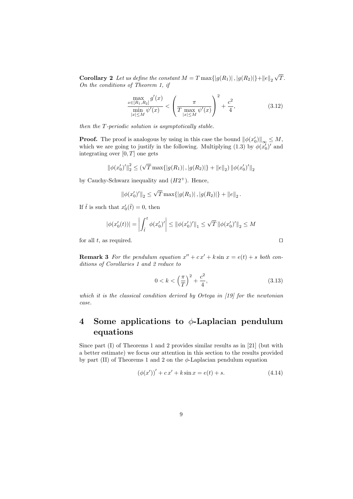**Corollary 2** Let us define the constant  $M = T \max\{|g(R_1)|, |g(R_2)|\} + ||e||_2$ T. On the conditions of Theorem 1, if

$$
\frac{\max\limits_{x \in [R_1, R_2]} g'(x)}{\min\limits_{|x| \le M} \psi'(x)} < \left(\frac{\pi}{T \max\limits_{|x| \le M} \psi'(x)}\right)^2 + \frac{c^2}{4},\tag{3.12}
$$

then the T-periodic solution is asymptotically stable.

**Proof.** The proof is analogous by using in this case the bound  $\|\phi(x'_0)\|_{\infty} \leq M$ , which we are going to justify in the following. Multiplying (1.3) by  $\phi(x'_0)$ ' and integrating over  $[0, T]$  one gets

$$
\left\| \phi(x'_0)' \right\|_2^2 \le \left( \sqrt{T} \max \{ |g(R_1)| \, , |g(R_2)| \} + \|e\|_2 \right) \left\| \phi(x'_0)' \right\|_2
$$

by Cauchy-Schwarz inequality and  $(H2^+)$ . Hence,

$$
\|\phi(x'_0)'\|_2 \le \sqrt{T} \max\{|g(R_1)|, |g(R_2)|\} + \|e\|_2.
$$

If  $\tilde{t}$  is such that  $x'_0(\tilde{t}) = 0$ , then

$$
|\phi(x'_0(t))| = \left| \int_{\tilde{t}}^t \phi(x'_0)' \right| \le ||\phi(x'_0)'||_1 \le \sqrt{T} ||\phi(x'_0)'||_2 \le M
$$
  
for all  $t$ , as required.  $\Box$ 

**Remark 3** For the pendulum equation  $x'' + cx' + k \sin x = e(t) + s$  both conditions of Corollaries 1 and 2 reduce to

$$
0 < k < \left(\frac{\pi}{T}\right)^2 + \frac{c^2}{4},\tag{3.13}
$$

which it is the classical condition derived by Ortega in [19] for the newtonian case.

## 4 Some applications to  $\phi$ -Laplacian pendulum equations

Since part (I) of Theorems 1 and 2 provides similar results as in [21] (but with a better estimate) we focus our attention in this section to the results provided by part (II) of Theorems 1 and 2 on the  $\phi$ -Laplacian pendulum equation

$$
(\phi(x'))' + cx' + k\sin x = e(t) + s.
$$
 (4.14)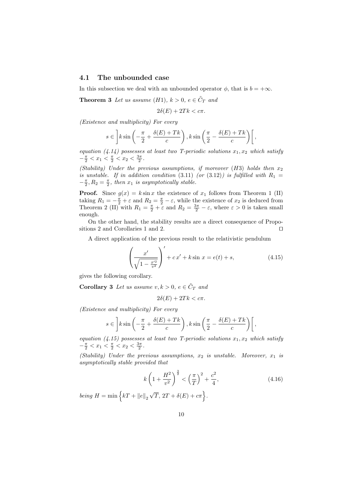### 4.1 The unbounded case

In this subsection we deal with an unbounded operator  $\phi$ , that is  $b = +\infty$ .

**Theorem 3** Let us assume  $(H1)$ ,  $k > 0$ ,  $e \in \tilde{C}_T$  and

$$
2\delta(E) + 2Tk < c\pi.
$$

(Existence and multiplicity) For every

$$
s \in \left] k \sin \left( -\frac{\pi}{2} + \frac{\delta(E) + Tk}{c} \right), k \sin \left( \frac{\pi}{2} - \frac{\delta(E) + Tk}{c} \right) \right[,
$$

equation (4.14) possesses at least two T-periodic solutions  $x_1, x_2$  which satisfy  $-\frac{\pi}{2} < x_1 < \frac{\pi}{2} < x_2 < \frac{3\pi}{2}$ .

(Stability) Under the previous assumptions, if moreover  $(H3)$  holds then  $x_2$ is unstable. If in addition condition (3.11) (or (3.12)) is fulfilled with  $R_1 =$  $-\frac{\pi}{2}$ ,  $R_2 = \frac{\pi}{2}$ , then  $x_1$  is asymptotically stable.

**Proof.** Since  $g(x) = k \sin x$  the existence of  $x_1$  follows from Theorem 1 (II) taking  $R_1 = -\frac{\pi}{2} + \varepsilon$  and  $R_2 = \frac{\pi}{2} - \varepsilon$ , while the existence of  $x_2$  is deduced from Theorem 2 (II) with  $R_1 = \frac{\pi}{2} + \varepsilon$  and  $R_2 = \frac{3\pi}{2} - \varepsilon$ , where  $\varepsilon > 0$  is taken small enough.

On the other hand, the stability results are a direct consequence of Propositions 2 and Corollaries 1 and 2.  $\Box$ 

A direct application of the previous result to the relativistic pendulum

$$
\left(\frac{x'}{\sqrt{1 - \frac{x'^2}{v^2}}}\right)' + cx' + k\sin x = e(t) + s,
$$
\n(4.15)

gives the following corollary.

**Corollary 3** Let us assume  $v, k > 0, e \in \tilde{C}_T$  and

$$
2\delta(E) + 2Tk < c\pi.
$$

(Existence and multiplicity) For every

$$
s \in \left] k \sin \left( -\frac{\pi}{2} + \frac{\delta(E) + Tk}{c} \right), k \sin \left( \frac{\pi}{2} - \frac{\delta(E) + Tk}{c} \right) \right[,
$$

equation (4.15) possesses at least two T-periodic solutions  $x_1, x_2$  which satisfy  $-\frac{\pi}{2} < x_1 < \frac{\pi}{2} < x_2 < \frac{3\pi}{2}$ .

(Stability) Under the previous assumptions,  $x_2$  is unstable. Moreover,  $x_1$  is asymptotically stable provided that

$$
k\left(1+\frac{H^2}{v^2}\right)^{\frac{3}{2}} < \left(\frac{\pi}{T}\right)^2 + \frac{c^2}{4},\tag{4.16}
$$

being  $H = \min \left\{ kT + ||e||_2 \right\}$  $\sqrt{T}$ ,  $2T + \delta(E) + c\pi$ .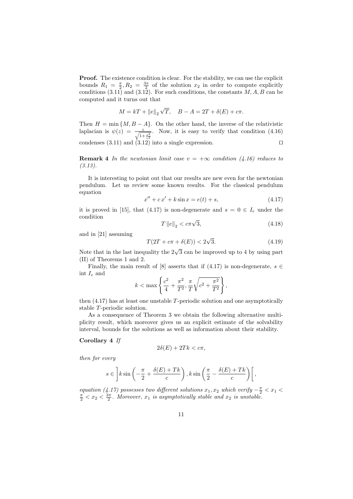Proof. The existence condition is clear. For the stability, we can use the explicit bounds  $R_1 = \frac{\pi}{2}, R_2 = \frac{3\pi}{2}$  of the solution  $x_2$  in order to compute explicitly conditions  $(3.11)$  and  $(3.12)$ . For such conditions, the constants  $M, A, B$  can be computed and it turns out that

$$
M = kT + ||e||_2 \sqrt{T}, \quad B - A = 2T + \delta(E) + c\pi.
$$

Then  $H = \min \{M, B - A\}$ . On the other hand, the inverse of the relativistic laplacian is  $\psi(z) = \frac{z}{\sqrt{1+\frac{z^2}{v^2}}}$ . Now, it is easy to verify that condition (4.16) condenses  $(3.11)$  and  $(3.12)$  into a single expression.

**Remark 4** In the newtonian limit case  $v = +\infty$  condition (4.16) reduces to (3.13).

It is interesting to point out that our results are new even for the newtonian pendulum. Let us review some known results. For the classical pendulum equation

$$
x'' + cx' + k\sin x = e(t) + s,
$$
\n(4.17)

it is proved in [15], that (4.17) is non-degenerate and  $s = 0 \in I_e$  under the condition

$$
T\left\|e\right\|_{2} < c\pi\sqrt{3},\tag{4.18}
$$

and in [21] assuming

$$
T(2T + c\pi + \delta(E)) < 2\sqrt{3}.\tag{4.19}
$$

Note that in the last inequality the  $2\sqrt{3}$  can be improved up to 4 by using part (II) of Theorems 1 and 2.

Finally, the main result of [8] asserts that if (4.17) is non-degenerate,  $s \in \mathbb{R}$ int $\mathcal{I}_e$  and

$$
k < \max \left\{ \frac{c^2}{4} + \frac{\pi^2}{T^2}, \frac{\pi}{T} \sqrt{c^2 + \frac{\pi^2}{T^2}} \right\},\
$$

then (4.17) has at least one unstable T-periodic solution and one asymptotically stable T-periodic solution.

As a consequence of Theorem 3 we obtain the following alternative multiplicity result, which moreover gives us an explicit estimate of the solvability interval, bounds for the solutions as well as information about their stability.

#### Corollary 4 If

$$
2\delta(E) + 2Tk < c\pi,
$$

then for every

$$
s \in \left] k \sin \left( -\frac{\pi}{2} + \frac{\delta(E) + Tk}{c} \right), k \sin \left( \frac{\pi}{2} - \frac{\delta(E) + Tk}{c} \right) \right[,
$$

equation (4.17) possesses two different solutions  $x_1, x_2$  which verify  $-\frac{\pi}{2} < x_1 <$  $\frac{\pi}{2} < x_2 < \frac{3\pi}{2}$ . Moreover,  $x_1$  is asymptotically stable and  $x_2$  is unstable.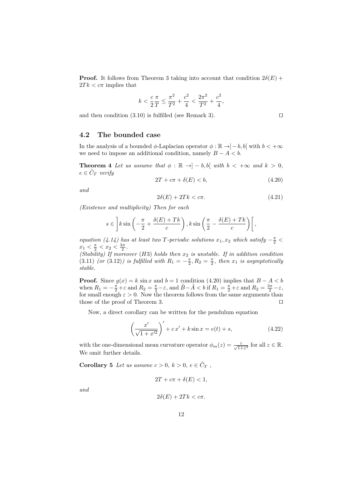**Proof.** It follows from Theorem 3 taking into account that condition  $2\delta(E)$  +  $2Tk < c\pi$  implies that

$$
k<\frac{c}{2}\frac{\pi}{T}\leq \frac{\pi^2}{T^2}+\frac{c^2}{4}<\frac{2\pi^2}{T^2}+\frac{c^2}{4},
$$

and then condition  $(3.10)$  is fulfilled (see Remark 3).

### 4.2 The bounded case

In the analysis of a bounded  $\phi$ -Laplacian operator  $\phi : \mathbb{R} \to ]-b, b[$  with  $b < +\infty$ we need to impose an additional condition, namely  $B - A < b$ .

**Theorem 4** Let us assume that  $\phi : \mathbb{R} \to ]-b, b[$  with  $b < +\infty$  and  $k > 0$ ,  $e \in \tilde{C}_T$  verify

$$
2T + c\pi + \delta(E) < b,\tag{4.20}
$$

and

$$
2\delta(E) + 2Tk < c\pi. \tag{4.21}
$$

(Existence and multiplicity) Then for each

$$
s \in \left] k \sin \left( -\frac{\pi}{2} + \frac{\delta(E) + Tk}{c} \right), k \sin \left( \frac{\pi}{2} - \frac{\delta(E) + Tk}{c} \right) \right[,
$$

equation (4.14) has at least two T-periodic solutions  $x_1, x_2$  which satisfy  $-\frac{\pi}{2}$  <  $x_1 < \frac{\pi}{2} < x_2 < \frac{3\pi}{2}$ .

(Stability) If moreover (H3) holds then  $x_2$  is unstable. If in addition condition (3.11) (or (3.12)) is fulfilled with  $R_1 = -\frac{\pi}{2}$ ,  $R_2 = \frac{\pi}{2}$ , then  $x_1$  is asymptotically stable.

**Proof.** Since  $g(x) = k \sin x$  and  $b = 1$  condition (4.20) implies that  $B - A < b$ when  $R_1 = -\frac{\pi}{2} + \varepsilon$  and  $R_2 = \frac{\pi}{2} - \varepsilon$ , and  $\tilde{B} - \tilde{A} < b$  if  $R_1 = \frac{\pi}{2} + \varepsilon$  and  $R_2 = \frac{3\pi}{2} - \varepsilon$ , for small enough  $\varepsilon > 0$ . Now the theorem follows from the same arguments than those of the proof of Theorem 3.  $\Box$ 

Now, a direct corollary can be written for the pendulum equation

$$
\left(\frac{x'}{\sqrt{1+x'^2}}\right)' + cx' + k\sin x = e(t) + s,
$$
\n(4.22)

with the one-dimensional mean curvature operator  $\phi_m(z) = \frac{z}{\sqrt{1+z^2}}$  for all  $z \in \mathbb{R}$ . We omit further details.

**Corollary 5** Let us assume  $c > 0$ ,  $k > 0$ ,  $e \in \tilde{C}_T$ ,

$$
2T + c\pi + \delta(E) < 1,
$$

and

$$
2\delta(E) + 2Tk < c\pi.
$$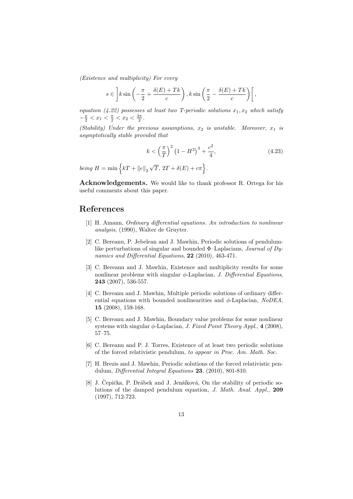(Existence and multiplicity) For every

$$
s \in \left] k \sin \left( -\frac{\pi}{2} + \frac{\delta(E) + Tk}{c} \right), k \sin \left( \frac{\pi}{2} - \frac{\delta(E) + Tk}{c} \right) \right[,
$$

equation (4.22) possesses at least two T-periodic solutions  $x_1, x_2$  which satisfy  $-\frac{\pi}{2} < x_1 < \frac{\pi}{2} < x_2 < \frac{3\pi}{2}$ .

(Stability) Under the previous assumptions,  $x_2$  is unstable. Moreover,  $x_1$  is asymptotically stable provided that

$$
k < \left(\frac{\pi}{T}\right)^2 \left(1 - H^2\right)^3 + \frac{c^2}{4},\tag{4.23}
$$

being  $H = \min \left\{ kT + ||e||_2 \right\}$  $\sqrt{T}$ ,  $2T + \delta(E) + c\pi$ .

Acknowledgements. We would like to thank professor R. Ortega for his useful comments about this paper.

### References

- [1] H. Amann, Ordinary differential equations. An introduction to nonlinear analysis, (1990), Walter de Gruyter.
- [2] C. Bereanu, P. Jebelean and J. Mawhin, Periodic solutions of pendulumlike perturbations of singular and bounded  $\Phi$ -Laplacians, *Journal of Dy*namics and Differential Equations, 22 (2010), 463-471.
- [3] C. Bereanu and J. Mawhin, Existence and multiplicity results for some nonlinear problems with singular  $\phi$ -Laplacian, *J. Differential Equations*, 243 (2007), 536-557.
- [4] C. Bereanu and J. Mawhin, Multiple periodic solutions of ordinary differential equations with bounded nonlinearities and  $\phi$ -Laplacian, NoDEA, 15 (2008), 159-168.
- [5] C. Bereanu and J. Mawhin, Boundary value problems for some nonlinear systems with singular  $\phi$ -Laplacian, *J. Fixed Point Theory Appl.*, 4 (2008), 57–75.
- [6] C. Bereanu and P. J. Torres, Existence of at least two periodic solutions of the forced relativistic pendulum, to appear in Proc. Am. Math. Soc.
- [7] H. Brezis and J. Mawhin, Periodic solutions of the forced relativistic pendulum, Differential Integral Equations 23, (2010), 801-810.
- [8] J. Čepička, P. Drábek and J. Jenšíková, On the stability of periodic solutions of the damped pendulum equation, J. Math. Anal. Appl., 209 (1997), 712-723.